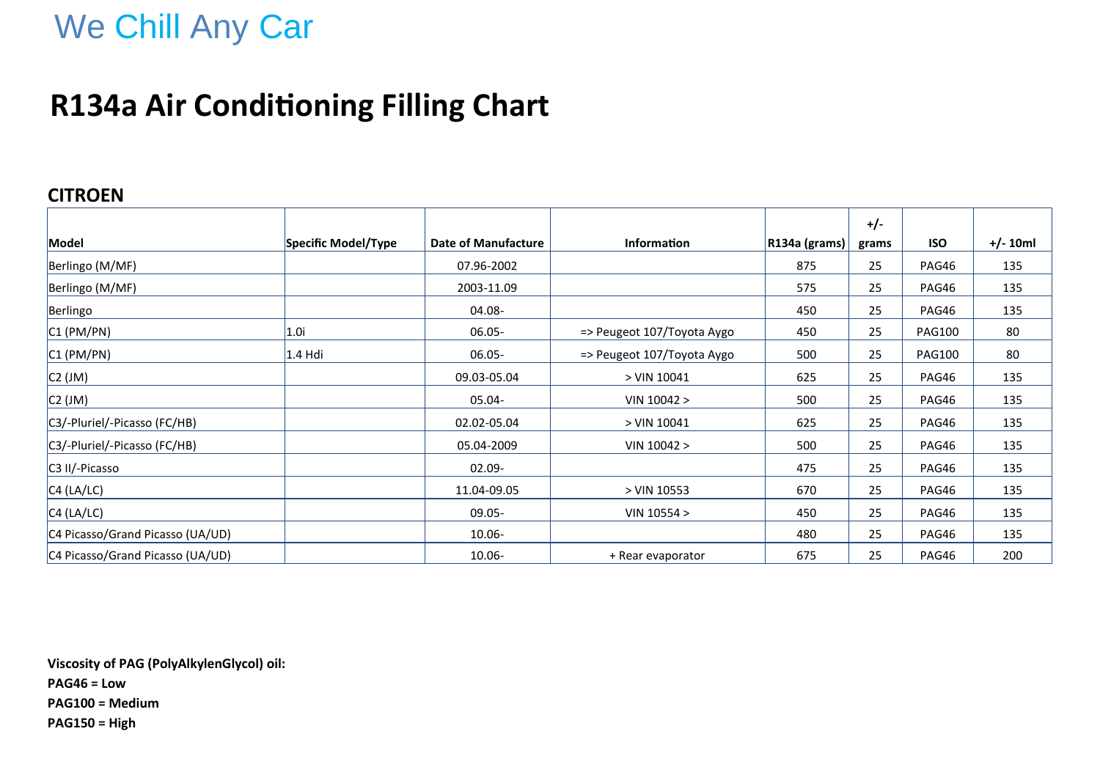## We Chill Any Car

### **R134a Air Conditioning Filling Chart**

#### **CITROEN**

|                                  |                     |                     |                            |                  | $+/-$ |               |            |
|----------------------------------|---------------------|---------------------|----------------------------|------------------|-------|---------------|------------|
| Model                            | Specific Model/Type | Date of Manufacture | Information                | $ R134a$ (grams) | grams | <b>ISO</b>    | $+/- 10ml$ |
| Berlingo (M/MF)                  |                     | 07.96-2002          |                            | 875              | 25    | PAG46         | 135        |
| Berlingo (M/MF)                  |                     | 2003-11.09          |                            | 575              | 25    | PAG46         | 135        |
| Berlingo                         |                     | 04.08-              |                            | 450              | 25    | PAG46         | 135        |
| $ C1$ (PM/PN)                    | 1.0i                | $06.05 -$           | => Peugeot 107/Toyota Aygo | 450              | 25    | <b>PAG100</b> | 80         |
| CI (PM/PN)                       | $1.4$ Hdi           | $06.05 -$           | => Peugeot 107/Toyota Aygo | 500              | 25    | <b>PAG100</b> | 80         |
| C2 (JM)                          |                     | 09.03-05.04         | > VIN 10041                | 625              | 25    | PAG46         | 135        |
| C2 (JM)                          |                     | 05.04-              | VIN 10042 >                | 500              | 25    | PAG46         | 135        |
| C3/-Pluriel/-Picasso (FC/HB)     |                     | 02.02-05.04         | > VIN 10041                | 625              | 25    | PAG46         | 135        |
| C3/-Pluriel/-Picasso (FC/HB)     |                     | 05.04-2009          | VIN 10042 >                | 500              | 25    | PAG46         | 135        |
| C3 II/-Picasso                   |                     | $02.09 -$           |                            | 475              | 25    | PAG46         | 135        |
| CA (LA/LC)                       |                     | 11.04-09.05         | > VIN 10553                | 670              | 25    | PAG46         | 135        |
| CA (LA/LC)                       |                     | $09.05 -$           | VIN $10554 >$              | 450              | 25    | PAG46         | 135        |
| C4 Picasso/Grand Picasso (UA/UD) |                     | $10.06 -$           |                            | 480              | 25    | PAG46         | 135        |
| C4 Picasso/Grand Picasso (UA/UD) |                     | $10.06 -$           | + Rear evaporator          | 675              | 25    | PAG46         | 200        |

**Viscosity of PAG (PolyAlkylenGlycol) oil: PAG46 = Low PAG100 = Medium PAG150 = High**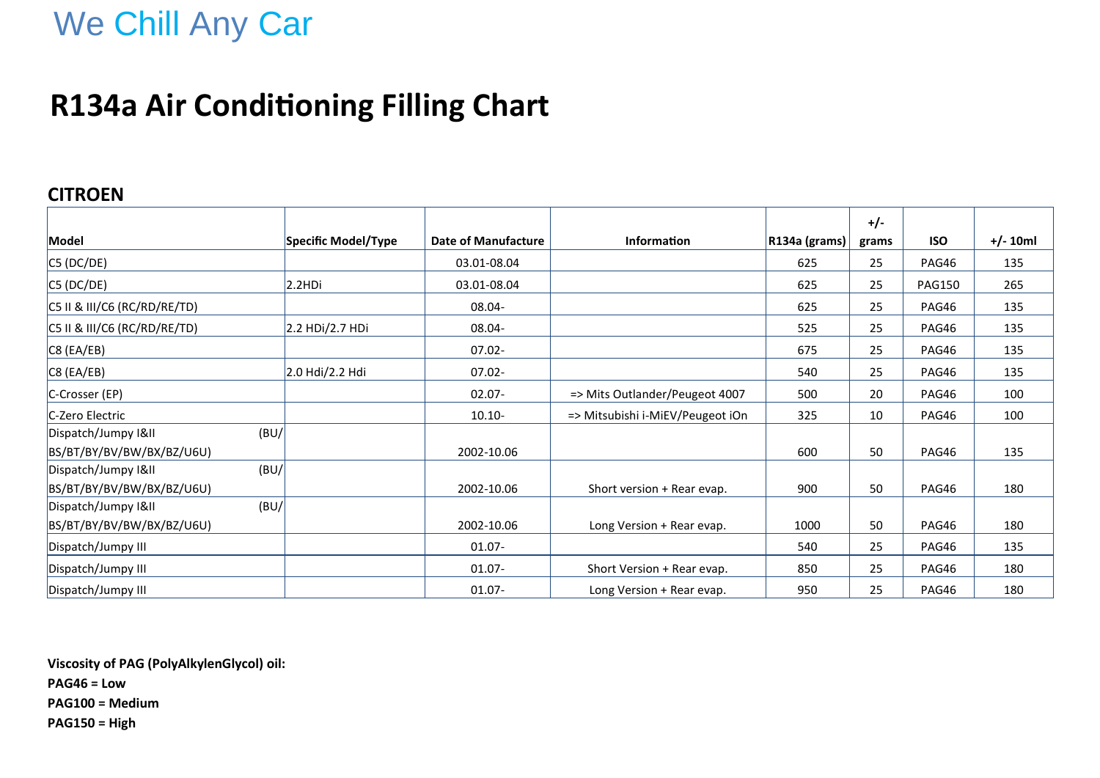## We Chill Any Car

### **R134a Air Conditioning Filling Chart**

#### **CITROEN**

|                              |                     |                     |                                  |               | $+/-$ |               |            |
|------------------------------|---------------------|---------------------|----------------------------------|---------------|-------|---------------|------------|
| Model                        | Specific Model/Type | Date of Manufacture | <b>Information</b>               | R134a (grams) | grams | <b>ISO</b>    | $+/- 10ml$ |
| C5 (DC/DE)                   |                     | 03.01-08.04         |                                  | 625           | 25    | PAG46         | 135        |
| CS (DC/DE)                   | 2.2HD <sub>i</sub>  | 03.01-08.04         |                                  | 625           | 25    | <b>PAG150</b> | 265        |
| C5 II & III/C6 (RC/RD/RE/TD) |                     | 08.04-              |                                  | 625           | 25    | PAG46         | 135        |
| C5 II & III/C6 (RC/RD/RE/TD) | 2.2 HDi/2.7 HDi     | 08.04-              |                                  | 525           | 25    | PAG46         | 135        |
| $\overline{C8}$ (EA/EB)      |                     | $07.02 -$           |                                  | 675           | 25    | PAG46         | 135        |
| $\overline{C8}$ (EA/EB)      | 2.0 Hdi/2.2 Hdi     | $07.02 -$           |                                  | 540           | 25    | PAG46         | 135        |
| C-Crosser (EP)               |                     | $02.07 -$           | => Mits Outlander/Peugeot 4007   | 500           | 20    | PAG46         | 100        |
| C-Zero Electric              |                     | $10.10 -$           | => Mitsubishi i-MiEV/Peugeot iOn | 325           | 10    | PAG46         | 100        |
| (BU)<br>Dispatch/Jumpy I&II  |                     |                     |                                  |               |       |               |            |
| BS/BT/BY/BV/BW/BX/BZ/U6U)    |                     | 2002-10.06          |                                  | 600           | 50    | PAG46         | 135        |
| (BU/<br>Dispatch/Jumpy I&II  |                     |                     |                                  |               |       |               |            |
| BS/BT/BY/BV/BW/BX/BZ/U6U)    |                     | 2002-10.06          | Short version + Rear evap.       | 900           | 50    | PAG46         | 180        |
| (BU)<br>Dispatch/Jumpy I&II  |                     |                     |                                  |               |       |               |            |
| BS/BT/BY/BV/BW/BX/BZ/U6U)    |                     | 2002-10.06          | Long Version + Rear evap.        | 1000          | 50    | PAG46         | 180        |
| Dispatch/Jumpy III           |                     | $01.07 -$           |                                  | 540           | 25    | PAG46         | 135        |
| Dispatch/Jumpy III           |                     | $01.07 -$           | Short Version + Rear evap.       | 850           | 25    | PAG46         | 180        |
| Dispatch/Jumpy III           |                     | $01.07 -$           | Long Version + Rear evap.        | 950           | 25    | PAG46         | 180        |

**Viscosity of PAG (PolyAlkylenGlycol) oil: PAG46 = Low PAG100 = Medium PAG150 = High**